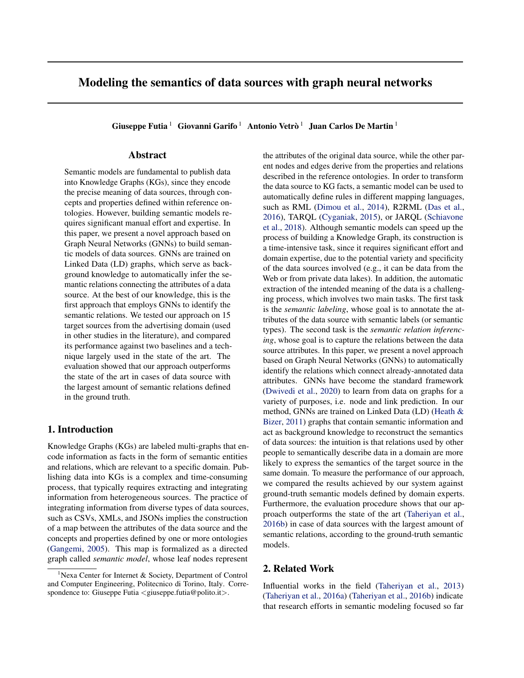# Modeling the semantics of data sources with graph neural networks

Giuseppe Futia  $^1\;$  Giovanni Garifo  $^1\;$  Antonio Vetrò  $^1\;$  Juan Carlos De Martin  $^1\;$ 

# Abstract

Semantic models are fundamental to publish data into Knowledge Graphs (KGs), since they encode the precise meaning of data sources, through concepts and properties defined within reference ontologies. However, building semantic models requires significant manual effort and expertise. In this paper, we present a novel approach based on Graph Neural Networks (GNNs) to build semantic models of data sources. GNNs are trained on Linked Data (LD) graphs, which serve as background knowledge to automatically infer the semantic relations connecting the attributes of a data source. At the best of our knowledge, this is the first approach that employs GNNs to identify the semantic relations. We tested our approach on 15 target sources from the advertising domain (used in other studies in the literature), and compared its performance against two baselines and a technique largely used in the state of the art. The evaluation showed that our approach outperforms the state of the art in cases of data source with the largest amount of semantic relations defined in the ground truth.

### 1. Introduction

Knowledge Graphs (KGs) are labeled multi-graphs that encode information as facts in the form of semantic entities and relations, which are relevant to a specific domain. Publishing data into KGs is a complex and time-consuming process, that typically requires extracting and integrating information from heterogeneous sources. The practice of integrating information from diverse types of data sources, such as CSVs, XMLs, and JSONs implies the construction of a map between the attributes of the data source and the concepts and properties defined by one or more ontologies [\(Gangemi,](#page-4-0) [2005\)](#page-4-0). This map is formalized as a directed graph called *semantic model*, whose leaf nodes represent

the attributes of the original data source, while the other parent nodes and edges derive from the properties and relations described in the reference ontologies. In order to transform the data source to KG facts, a semantic model can be used to automatically define rules in different mapping languages, such as RML [\(Dimou et al.,](#page-4-0) [2014\)](#page-4-0), R2RML [\(Das et al.,](#page-4-0) [2016\)](#page-4-0), TARQL [\(Cyganiak,](#page-4-0) [2015\)](#page-4-0), or JARQL [\(Schiavone](#page-4-0) [et al.,](#page-4-0) [2018\)](#page-4-0). Although semantic models can speed up the process of building a Knowledge Graph, its construction is a time-intensive task, since it requires significant effort and domain expertise, due to the potential variety and specificity of the data sources involved (e.g., it can be data from the Web or from private data lakes). In addition, the automatic extraction of the intended meaning of the data is a challenging process, which involves two main tasks. The first task is the *semantic labeling*, whose goal is to annotate the attributes of the data source with semantic labels (or semantic types). The second task is the *semantic relation inferencing*, whose goal is to capture the relations between the data source attributes. In this paper, we present a novel approach based on Graph Neural Networks (GNNs) to automatically identify the relations which connect already-annotated data attributes. GNNs have become the standard framework [\(Dwivedi et al.,](#page-4-0) [2020\)](#page-4-0) to learn from data on graphs for a variety of purposes, i.e. node and link prediction. In our method, GNNs are trained on Linked Data (LD) [\(Heath &](#page-4-0) [Bizer,](#page-4-0) [2011\)](#page-4-0) graphs that contain semantic information and act as background knowledge to reconstruct the semantics of data sources: the intuition is that relations used by other people to semantically describe data in a domain are more likely to express the semantics of the target source in the same domain. To measure the performance of our approach, we compared the results achieved by our system against ground-truth semantic models defined by domain experts. Furthermore, the evaluation procedure shows that our approach outperforms the state of the art [\(Taheriyan et al.,](#page-4-0) [2016b\)](#page-4-0) in case of data sources with the largest amount of semantic relations, according to the ground-truth semantic models.

# 2. Related Work

Influential works in the field [\(Taheriyan et al.,](#page-4-0) [2013\)](#page-4-0) [\(Taheriyan et al.,](#page-4-0) [2016a\)](#page-4-0) [\(Taheriyan et al.,](#page-4-0) [2016b\)](#page-4-0) indicate that research efforts in semantic modeling focused so far

<sup>&</sup>lt;sup>1</sup>Nexa Center for Internet & Society, Department of Control and Computer Engineering, Politecnico di Torino, Italy. Correspondence to: Giuseppe Futia <giuseppe.futia@polito.it>.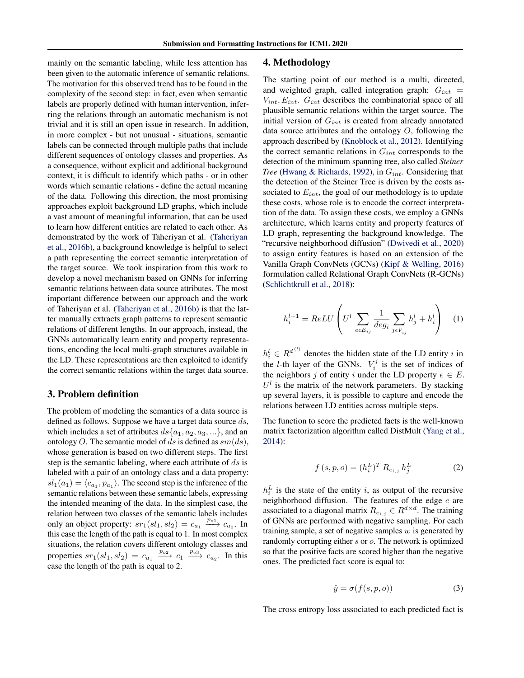<span id="page-1-0"></span>mainly on the semantic labeling, while less attention has been given to the automatic inference of semantic relations. The motivation for this observed trend has to be found in the complexity of the second step: in fact, even when semantic labels are properly defined with human intervention, inferring the relations through an automatic mechanism is not trivial and it is still an open issue in research. In addition, in more complex - but not unusual - situations, semantic labels can be connected through multiple paths that include different sequences of ontology classes and properties. As a consequence, without explicit and additional background context, it is difficult to identify which paths - or in other words which semantic relations - define the actual meaning of the data. Following this direction, the most promising approaches exploit background LD graphs, which include a vast amount of meaningful information, that can be used to learn how different entities are related to each other. As demonstrated by the work of Taheriyan et al. [\(Taheriyan](#page-4-0) [et al.,](#page-4-0) [2016b\)](#page-4-0), a background knowledge is helpful to select a path representing the correct semantic interpretation of the target source. We took inspiration from this work to develop a novel mechanism based on GNNs for inferring semantic relations between data source attributes. The most important difference between our approach and the work of Taheriyan et al. [\(Taheriyan et al.,](#page-4-0) [2016b\)](#page-4-0) is that the latter manually extracts graph patterns to represent semantic relations of different lengths. In our approach, instead, the GNNs automatically learn entity and property representations, encoding the local multi-graph structures available in the LD. These representations are then exploited to identify the correct semantic relations within the target data source.

#### 3. Problem definition

The problem of modeling the semantics of a data source is defined as follows. Suppose we have a target data source  $ds$ , which includes a set of attributes  $ds\{a_1, a_2, a_3, ...\}$ , and an ontology O. The semantic model of ds is defined as  $sm(ds)$ , whose generation is based on two different steps. The first step is the semantic labeling, where each attribute of  $ds$  is labeled with a pair of an ontology class and a data property:  $sl_1(a_1) = \langle c_{a_1}, p_{a_1} \rangle$ . The second step is the inference of the semantic relations between these semantic labels, expressing the intended meaning of the data. In the simplest case, the relation between two classes of the semantic labels includes only an object property:  $sr_1(sl_1, sl_2) = c_{a_1} \xrightarrow{p_{o_1}} c_{a_2}$ . In this case the length of the path is equal to 1. In most complex situations, the relation covers different ontology classes and properties  $sr_1(sl_1, sl_2) = c_{a_1} \xrightarrow{p_{o2}} c_1 \xrightarrow{p_{o3}} c_{a_2}$ . In this case the length of the path is equal to 2.

#### 4. Methodology

The starting point of our method is a multi, directed, and weighted graph, called integration graph:  $G_{int}$  =  $V_{int}, E_{int}. G_{int}$  describes the combinatorial space of all plausible semantic relations within the target source. The initial version of  $G_{int}$  is created from already annotated data source attributes and the ontology  $O$ , following the approach described by [\(Knoblock et al.,](#page-4-0) [2012\)](#page-4-0). Identifying the correct semantic relations in  $G_{int}$  corresponds to the detection of the minimum spanning tree, also called *Steiner Tree* [\(Hwang & Richards,](#page-4-0) [1992\)](#page-4-0), in  $G_{int}$ . Considering that the detection of the Steiner Tree is driven by the costs associated to  $E_{int}$ , the goal of our methodology is to update these costs, whose role is to encode the correct interpretation of the data. To assign these costs, we employ a GNNs architecture, which learns entity and property features of LD graph, representing the background knowledge. The "recursive neighborhood diffusion" [\(Dwivedi et al.,](#page-4-0) [2020\)](#page-4-0) to assign entity features is based on an extension of the Vanilla Graph ConvNets (GCNs) [\(Kipf & Welling,](#page-4-0) [2016\)](#page-4-0) formulation called Relational Graph ConvNets (R-GCNs) [\(Schlichtkrull et al.,](#page-4-0) [2018\)](#page-4-0):

$$
h_i^{l+1} = ReLU \left( U^l \sum_{e \in E_{ij}} \frac{1}{deg_i} \sum_{j \in V_{ij}} h_j^l + h_i^l \right) \quad (1)
$$

 $h_i^l \in R^{d^{(l)}}$  denotes the hidden state of the LD entity i in the *l*-th layer of the GNNs.  $V_i^j$  is the set of indices of the neighbors j of entity i under the LD property  $e \in E$ .  $U<sup>l</sup>$  is the matrix of the network parameters. By stacking up several layers, it is possible to capture and encode the relations between LD entities across multiple steps.

The function to score the predicted facts is the well-known matrix factorization algorithm called DistMult [\(Yang et al.,](#page-4-0) [2014\)](#page-4-0):

$$
f(s, p, o) = (h_i^L)^T R_{e_{i,j}} h_j^L
$$
 (2)

 $h_i^L$  is the state of the entity i, as output of the recursive neighborhood diffusion. The features of the edge e are associated to a diagonal matrix  $R_{e_{i,j}} \in R^{d \times d}$ . The training of GNNs are performed with negative sampling. For each training sample, a set of negative samples  $w$  is generated by randomly corrupting either s or o. The network is optimized so that the positive facts are scored higher than the negative ones. The predicted fact score is equal to:

$$
\hat{y} = \sigma(f(s, p, o))\tag{3}
$$

The cross entropy loss associated to each predicted fact is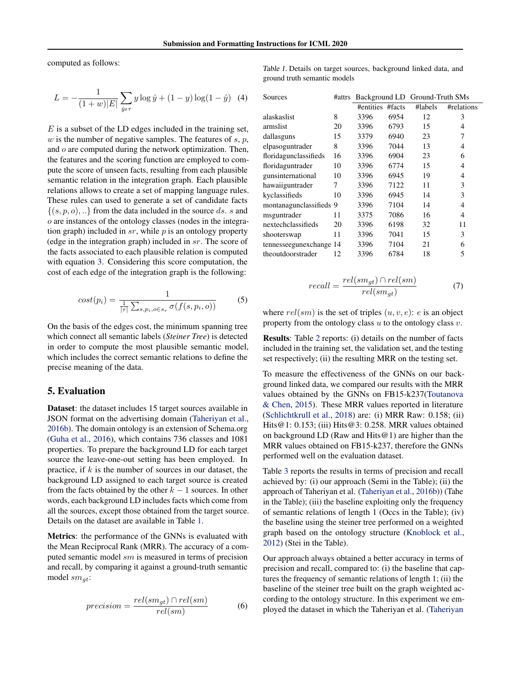<span id="page-2-0"></span>computed as follows:

$$
L = -\frac{1}{(1+w)|E|} \sum_{\hat{y} \in \tau} y \log \hat{y} + (1-y) \log(1-\hat{y}) \quad (4)
$$

 $E$  is a subset of the LD edges included in the training set,  $w$  is the number of negative samples. The features of  $s, p$ , and  $o$  are computed during the network optimization. Then, the features and the scoring function are employed to compute the score of unseen facts, resulting from each plausible semantic relation in the integration graph. Each plausible relations allows to create a set of mapping language rules. These rules can used to generate a set of candidate facts  $\{(s, p, o), \ldots\}$  from the data included in the source ds. s and o are instances of the ontology classes (nodes in the integration graph) included in  $sr$ , while  $p$  is an ontology property (edge in the integration graph) included in sr. The score of the facts associated to each plausible relation is computed with equation [3.](#page-1-0) Considering this score computation, the cost of each edge of the integration graph is the following:

$$
cost(p_i) = \frac{1}{\frac{1}{|\tau|} \sum_{s, p_i, o \in s_r} \sigma(f(s, p_i, o))}
$$
 (5)

On the basis of the edges cost, the minimum spanning tree which connect all semantic labels (*Steiner Tree*) is detected in order to compute the most plausible semantic model, which includes the correct semantic relations to define the precise meaning of the data.

#### 5. Evaluation

Dataset: the dataset includes 15 target sources available in JSON format on the advertising domain [\(Taheriyan et al.,](#page-4-0) [2016b\)](#page-4-0). The domain ontology is an extension of Schema.org [\(Guha et al.,](#page-4-0) [2016\)](#page-4-0), which contains 736 classes and 1081 properties. To prepare the background LD for each target source the leave-one-out setting has been employed. In practice, if  $k$  is the number of sources in our dataset, the background LD assigned to each target source is created from the facts obtained by the other  $k - 1$  sources. In other words, each background LD includes facts which come from all the sources, except those obtained from the target source. Details on the dataset are available in Table 1.

Metrics: the performance of the GNNs is evaluated with the Mean Reciprocal Rank (MRR). The accuracy of a computed semantic model sm is measured in terms of precision and recall, by comparing it against a ground-truth semantic model  $sm_{qt}$ :

$$
precision = \frac{rel(sm_{gt}) \cap rel(sm)}{rel(sm)} \tag{6}
$$

Table 1. Details on target sources, background linked data, and ground truth semantic models

| Sources                 | #attrs | Background LD Ground-Truth SMs |      |         |            |
|-------------------------|--------|--------------------------------|------|---------|------------|
|                         |        | #entities #facts               |      | #labels | #relations |
| alaskaslist             | 8      | 3396                           | 6954 | 12      | 3          |
| armslist                | 20     | 3396                           | 6793 | 15      | 4          |
| dallasguns              | 15     | 3379                           | 6940 | 23      | 7          |
| elpasoguntrader         | 8      | 3396                           | 7044 | 13      | 4          |
| floridagunclassifieds   | 16     | 3396                           | 6904 | 23      | 6          |
| floridaguntrader        | 10     | 3396                           | 6774 | 15      | 4          |
| gunsinternational       | 10     | 3396                           | 6945 | 19      | 4          |
| hawaiiguntrader         | 7      | 3396                           | 7122 | 11      | 3          |
| kyclassifieds           | 10     | 3396                           | 6945 | 14      | 3          |
| montanagunclassifieds 9 |        | 3396                           | 7104 | 14      | 4          |
| msguntrader             | 11     | 3375                           | 7086 | 16      | 4          |
| nextechclassifieds      | 20     | 3396                           | 6198 | 32      | 11         |
| shooterswap             | 11     | 3396                           | 7041 | 15      | 3          |
| tennesseegunexchange 14 |        | 3396                           | 7104 | 21      | 6          |
| theoutdoorstrader       | 12     | 3396                           | 6784 | 18      | 5          |

$$
recall = \frac{rel(sm_{gt}) \cap rel(sm)}{rel(sm_{gt})} \tag{7}
$$

where  $rel(sm)$  is the set of triples  $(u, v, e)$ : e is an object property from the ontology class  $u$  to the ontology class  $v$ .

Results: Table [2](#page-3-0) reports: (i) details on the number of facts included in the training set, the validation set, and the testing set respectively; (ii) the resulting MRR on the testing set.

To measure the effectiveness of the GNNs on our background linked data, we compared our results with the MRR values obtained by the GNNs on FB15-k237[\(Toutanova](#page-4-0) [& Chen,](#page-4-0) [2015\)](#page-4-0). These MRR values reported in literature [\(Schlichtkrull et al.,](#page-4-0) [2018\)](#page-4-0) are: (i) MRR Raw: 0.158; (ii) Hits@1: 0.153; (iii) Hits@3: 0.258. MRR values obtained on background LD (Raw and Hits@1) are higher than the MRR values obtained on FB15-k237, therefore the GNNs performed well on the evaluation dataset.

Table [3](#page-3-0) reports the results in terms of precision and recall achieved by: (i) our approach (Semi in the Table); (ii) the approach of Taheriyan et al. [\(Taheriyan et al.,](#page-4-0) [2016b\)](#page-4-0)) (Tahe in the Table); (iii) the baseline exploiting only the frequency of semantic relations of length 1 (Occs in the Table); (iv) the baseline using the steiner tree performed on a weighted graph based on the ontology structure [\(Knoblock et al.,](#page-4-0) [2012\)](#page-4-0) (Stei in the Table).

Our approach always obtained a better accuracy in terms of precision and recall, compared to: (i) the baseline that captures the frequency of semantic relations of length 1; (ii) the baseline of the steiner tree built on the graph weighted according to the ontology structure. In this experiment we em[ployed the dataset in which the Taheriyan et al. \(Taheriyan](#page-4-0)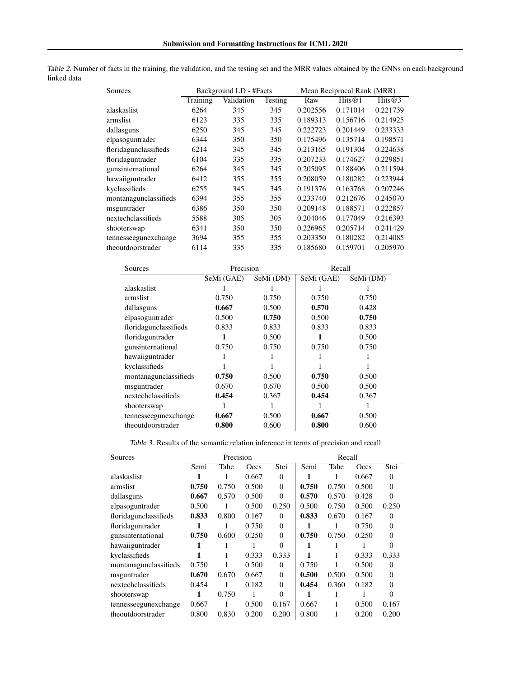<span id="page-3-0"></span>

|             |  | Table 2. Number of facts in the training, the validation, and the testing set and the MRR values obtained by the GNNs on each background |  |  |  |  |
|-------------|--|------------------------------------------------------------------------------------------------------------------------------------------|--|--|--|--|
| linked data |  |                                                                                                                                          |  |  |  |  |

| <b>Sources</b>        |          | Background LD - #Facts |         | Mean Reciprocal Rank (MRR) |           |          |  |
|-----------------------|----------|------------------------|---------|----------------------------|-----------|----------|--|
|                       | Training | Validation             | Testing | Raw                        | Hits $@1$ | Hits@3   |  |
| alaskaslist           | 6264     | 345                    | 345     | 0.202556                   | 0.171014  | 0.221739 |  |
| armslist              | 6123     | 335                    | 335     | 0.189313                   | 0.156716  | 0.214925 |  |
| dallasguns            | 6250     | 345                    | 345     | 0.222723                   | 0.201449  | 0.233333 |  |
| elpasoguntrader       | 6344     | 350                    | 350     | 0.175496                   | 0.135714  | 0.198571 |  |
| floridagunclassifieds | 6214     | 345                    | 345     | 0.213165                   | 0.191304  | 0.224638 |  |
| floridaguntrader      | 6104     | 335                    | 335     | 0.207233                   | 0.174627  | 0.229851 |  |
| gunsinternational     | 6264     | 345                    | 345     | 0.205095                   | 0.188406  | 0.211594 |  |
| hawaiiguntrader       | 6412     | 355                    | 355     | 0.208059                   | 0.180282  | 0.223944 |  |
| kyclassifieds         | 6255     | 345                    | 345     | 0.191376                   | 0.163768  | 0.207246 |  |
| montanagunclassifieds | 6394     | 355                    | 355     | 0.233740                   | 0.212676  | 0.245070 |  |
| msguntrader           | 6386     | 350                    | 350     | 0.209148                   | 0.188571  | 0.222857 |  |
| nextechclassifieds    | 5588     | 305                    | 305     | 0.204046                   | 0.177049  | 0.216393 |  |
| shooterswap           | 6341     | 350                    | 350     | 0.226965                   | 0.205714  | 0.241429 |  |
| tennesseegunexchange  | 3694     | 355                    | 355     | 0.203350                   | 0.180282  | 0.214085 |  |
| theoutdoorstrader     | 6114     | 335                    | 335     | 0.185680                   | 0.159701  | 0.205970 |  |

| Sources               | Precision  |           | Recall     |           |  |  |
|-----------------------|------------|-----------|------------|-----------|--|--|
|                       | SeMi (GAE) | SeMi (DM) | SeMi (GAE) | SeMi (DM) |  |  |
| alaskaslist           |            |           |            |           |  |  |
| armslist              | 0.750      | 0.750     | 0.750      | 0.750     |  |  |
| dallasguns            | 0.667      | 0.500     | 0.570      | 0.428     |  |  |
| elpasoguntrader       | 0.500      | 0.750     | 0.500      | 0.750     |  |  |
| floridagunclassifieds | 0.833      | 0.833     | 0.833      | 0.833     |  |  |
| floridaguntrader      |            | 0.500     |            | 0.500     |  |  |
| gunsinternational     | 0.750      | 0.750     | 0.750      | 0.750     |  |  |
| hawaiiguntrader       |            |           |            |           |  |  |
| kyclassifieds         |            |           |            |           |  |  |
| montanagunclassifieds | 0.750      | 0.500     | 0.750      | 0.500     |  |  |
| msguntrader           | 0.670      | 0.670     | 0.500      | 0.500     |  |  |
| nextechclassifieds    | 0.454      | 0.367     | 0.454      | 0.367     |  |  |
| shooterswap           |            |           |            |           |  |  |
| tennesseegunexchange  | 0.667      | 0.500     | 0.667      | 0.500     |  |  |
| theoutdoorstrader     | 0.800      | 0.600     | 0.800      | 0.600     |  |  |

| Sources               | Precision |       |       | Recall   |       |       |       |          |
|-----------------------|-----------|-------|-------|----------|-------|-------|-------|----------|
|                       | Semi      | Tahe  | Occs  | Stei     | Semi  | Tahe  | Occs  | Stei     |
| alaskaslist           | 1         |       | 0.667 | $\theta$ |       |       | 0.667 | $\Omega$ |
| armslist              | 0.750     | 0.750 | 0.500 | $\theta$ | 0.750 | 0.750 | 0.500 | $\theta$ |
| dallasguns            | 0.667     | 0.570 | 0.500 | $\theta$ | 0.570 | 0.570 | 0.428 | $\Omega$ |
| elpasoguntrader       | 0.500     | 1     | 0.500 | 0.250    | 0.500 | 0.750 | 0.500 | 0.250    |
| floridagunclassifieds | 0.833     | 0.800 | 0.167 | $\theta$ | 0.833 | 0.670 | 0.167 | $\Omega$ |
| floridaguntrader      |           |       | 0.750 | $\theta$ |       |       | 0.750 | $\Omega$ |
| gunsinternational     | 0.750     | 0.600 | 0.250 | $\theta$ | 0.750 | 0.750 | 0.250 | $\Omega$ |
| hawaiiguntrader       |           |       |       | $\Omega$ |       |       |       | $\Omega$ |
| kyclassifieds         | 1         |       | 0.333 | 0.333    | 1     |       | 0.333 | 0.333    |
| montanagunclassifieds | 0.750     |       | 0.500 | $\theta$ | 0.750 |       | 0.500 | $\Omega$ |
| msguntrader           | 0.670     | 0.670 | 0.667 | $\theta$ | 0.500 | 0.500 | 0.500 | $\Omega$ |
| nextechclassifieds    | 0.454     |       | 0.182 | $\theta$ | 0.454 | 0.360 | 0.182 | $\Omega$ |
| shooterswap           | 1         | 0.750 |       | $\Omega$ |       |       |       | $\Omega$ |
| tennesseegunexchange  | 0.667     |       | 0.500 | 0.167    | 0.667 |       | 0.500 | 0.167    |
| theoutdoorstrader     | 0.800     | 0.830 | 0.200 | 0.200    | 0.800 |       | 0.200 | 0.200    |